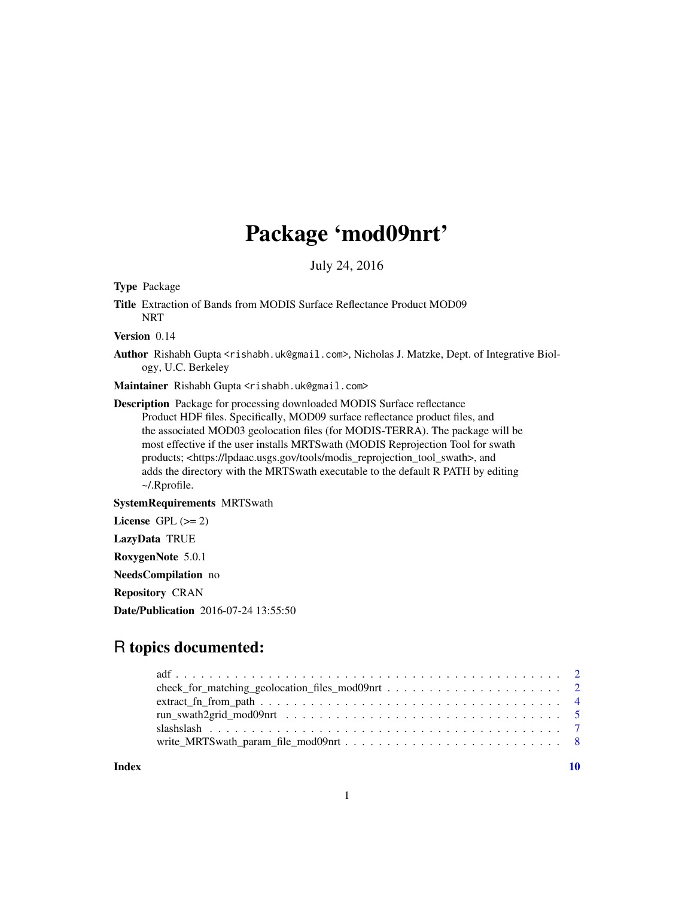# Package 'mod09nrt'

July 24, 2016

<span id="page-0-0"></span>Type Package Title Extraction of Bands from MODIS Surface Reflectance Product MOD09 **NRT** Version 0.14 Author Rishabh Gupta <rishabh.uk@gmail.com>, Nicholas J. Matzke, Dept. of Integrative Biology, U.C. Berkeley Maintainer Rishabh Gupta <rishabh.uk@gmail.com> Description Package for processing downloaded MODIS Surface reflectance Product HDF files. Specifically, MOD09 surface reflectance product files, and the associated MOD03 geolocation files (for MODIS-TERRA). The package will be most effective if the user installs MRTSwath (MODIS Reprojection Tool for swath products; <https://lpdaac.usgs.gov/tools/modis\_reprojection\_tool\_swath>, and adds the directory with the MRTSwath executable to the default R PATH by editing ~/.Rprofile. SystemRequirements MRTSwath License GPL  $(>= 2)$ LazyData TRUE RoxygenNote 5.0.1 NeedsCompilation no Repository CRAN

Date/Publication 2016-07-24 13:55:50

# R topics documented:

 $\blacksquare$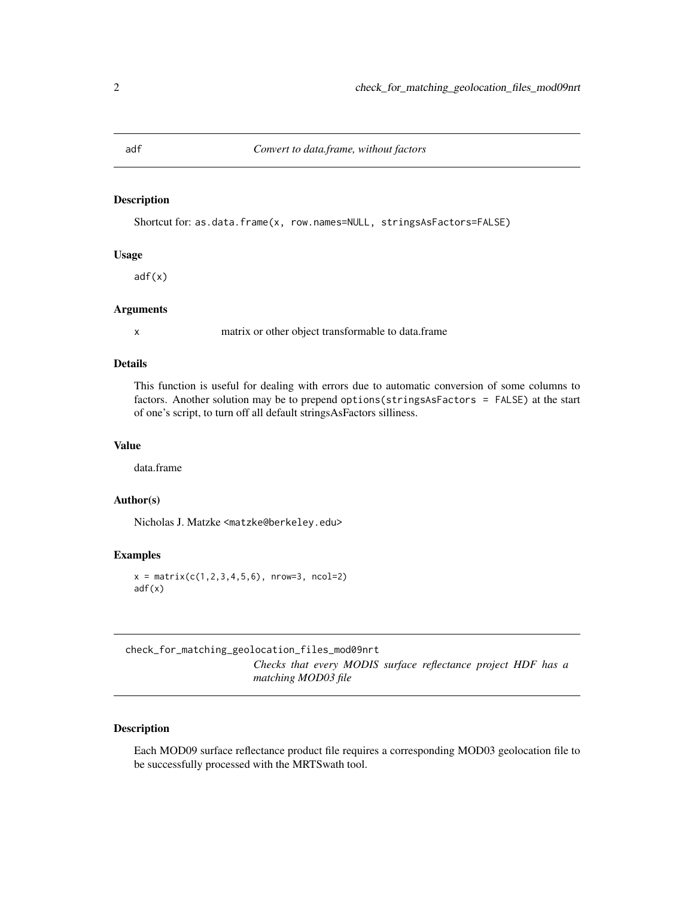<span id="page-1-0"></span>

# Description

Shortcut for: as.data.frame(x, row.names=NULL, stringsAsFactors=FALSE)

# Usage

adf(x)

# Arguments

x matrix or other object transformable to data.frame

#### Details

This function is useful for dealing with errors due to automatic conversion of some columns to factors. Another solution may be to prepend options(stringsAsFactors = FALSE) at the start of one's script, to turn off all default stringsAsFactors silliness.

#### Value

data.frame

# Author(s)

Nicholas J. Matzke <matzke@berkeley.edu>

#### Examples

 $x = matrix(c(1, 2, 3, 4, 5, 6), nrow=3, ncol=2)$ adf(x)

check\_for\_matching\_geolocation\_files\_mod09nrt *Checks that every MODIS surface reflectance project HDF has a matching MOD03 file*

# Description

Each MOD09 surface reflectance product file requires a corresponding MOD03 geolocation file to be successfully processed with the MRTSwath tool.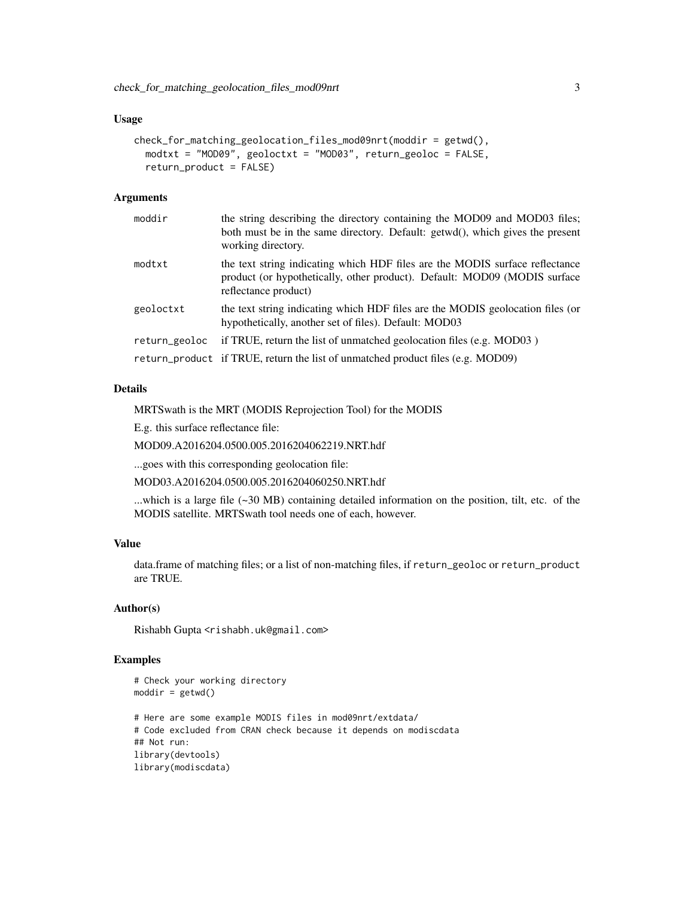#### Usage

```
check_for_matching_geolocation_files_mod09nrt(moddir = getwd(),
 modtxt = "MOD09", geoloctxt = "MOD03", return_geoloc = FALSE,
  return_product = FALSE)
```
#### Arguments

| moddir        | the string describing the directory containing the MOD09 and MOD03 files;<br>both must be in the same directory. Default: getwd(), which gives the present<br>working directory.  |
|---------------|-----------------------------------------------------------------------------------------------------------------------------------------------------------------------------------|
| modtxt        | the text string indicating which HDF files are the MODIS surface reflectance<br>product (or hypothetically, other product). Default: MOD09 (MODIS surface<br>reflectance product) |
| geoloctxt     | the text string indicating which HDF files are the MODIS geolocation files (or<br>hypothetically, another set of files). Default: MOD03                                           |
| return_geoloc | if TRUE, return the list of unmatched geolocation files (e.g. MOD03)                                                                                                              |
|               | return_product if TRUE, return the list of unmatched product files (e.g. MOD09)                                                                                                   |

#### Details

MRTSwath is the MRT (MODIS Reprojection Tool) for the MODIS

E.g. this surface reflectance file:

MOD09.A2016204.0500.005.2016204062219.NRT.hdf

...goes with this corresponding geolocation file:

MOD03.A2016204.0500.005.2016204060250.NRT.hdf

...which is a large file (~30 MB) containing detailed information on the position, tilt, etc. of the MODIS satellite. MRTSwath tool needs one of each, however.

#### Value

data.frame of matching files; or a list of non-matching files, if return\_geoloc or return\_product are TRUE.

#### Author(s)

Rishabh Gupta <rishabh.uk@gmail.com>

#### Examples

```
# Check your working directory
modelir = getwd()# Here are some example MODIS files in mod09nrt/extdata/
# Code excluded from CRAN check because it depends on modiscdata
## Not run:
library(devtools)
library(modiscdata)
```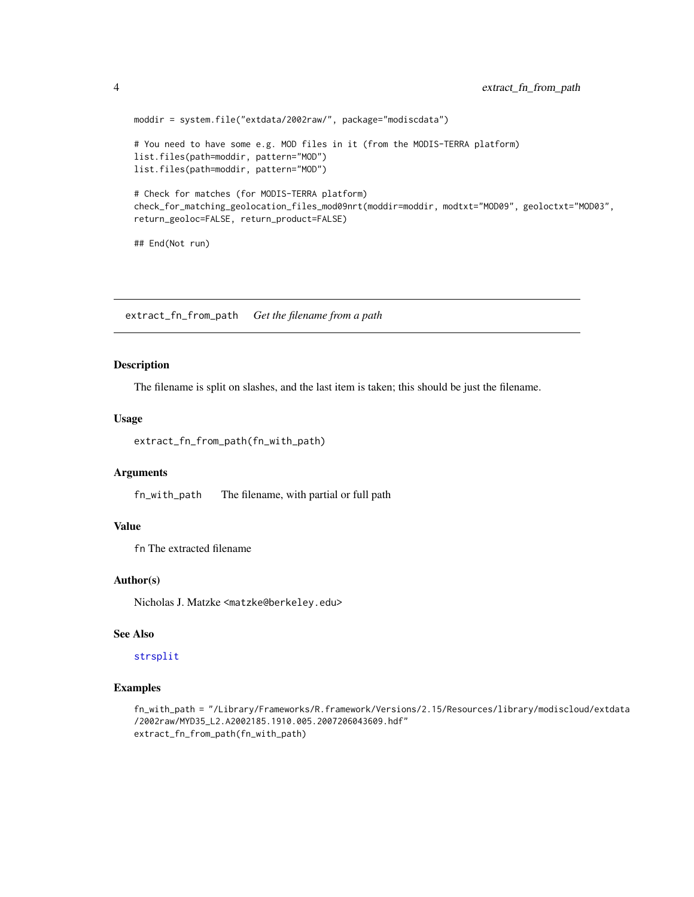```
moddir = system.file("extdata/2002raw/", package="modiscdata")
# You need to have some e.g. MOD files in it (from the MODIS-TERRA platform)
list.files(path=moddir, pattern="MOD")
list.files(path=moddir, pattern="MOD")
# Check for matches (for MODIS-TERRA platform)
check_for_matching_geolocation_files_mod09nrt(moddir=moddir, modtxt="MOD09", geoloctxt="MOD03",
return_geoloc=FALSE, return_product=FALSE)
## End(Not run)
```
extract\_fn\_from\_path *Get the filename from a path*

#### Description

The filename is split on slashes, and the last item is taken; this should be just the filename.

#### Usage

```
extract_fn_from_path(fn_with_path)
```
# Arguments

fn\_with\_path The filename, with partial or full path

# Value

fn The extracted filename

# Author(s)

Nicholas J. Matzke <matzke@berkeley.edu>

# See Also

#### [strsplit](#page-0-0)

#### Examples

```
fn_with_path = "/Library/Frameworks/R.framework/Versions/2.15/Resources/library/modiscloud/extdata
/2002raw/MYD35_L2.A2002185.1910.005.2007206043609.hdf"
extract_fn_from_path(fn_with_path)
```
<span id="page-3-0"></span>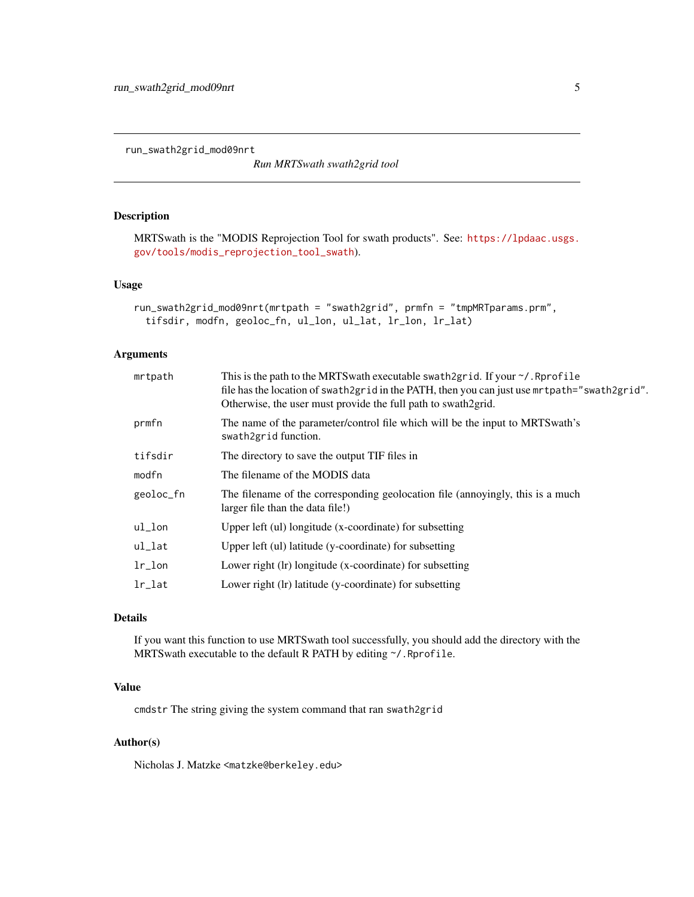<span id="page-4-1"></span><span id="page-4-0"></span>run\_swath2grid\_mod09nrt

*Run MRTSwath swath2grid tool*

# Description

MRTSwath is the "MODIS Reprojection Tool for swath products". See: [https://lpdaac.usgs.](https://lpdaac.usgs.gov/tools/modis_reprojection_tool_swath) [gov/tools/modis\\_reprojection\\_tool\\_swath](https://lpdaac.usgs.gov/tools/modis_reprojection_tool_swath)).

# Usage

```
run_swath2grid_mod09nrt(mrtpath = "swath2grid", prmfn = "tmpMRTparams.prm",
 tifsdir, modfn, geoloc_fn, ul_lon, ul_lat, lr_lon, lr_lat)
```
# Arguments

| mrtpath    | This is the path to the MRTS wath executable swath 2 grid. If your $\gamma$ . Reprofile<br>file has the location of swath2grid in the PATH, then you can just use mrtpath="swath2grid".<br>Otherwise, the user must provide the full path to swath 2 grid. |
|------------|------------------------------------------------------------------------------------------------------------------------------------------------------------------------------------------------------------------------------------------------------------|
| prmfn      | The name of the parameter/control file which will be the input to MRTS wath's<br>swath2grid function.                                                                                                                                                      |
| tifsdir    | The directory to save the output TIF files in                                                                                                                                                                                                              |
| modfn      | The filename of the MODIS data                                                                                                                                                                                                                             |
| geoloc_fn  | The filename of the corresponding geolocation file (annoyingly, this is a much<br>larger file than the data file!)                                                                                                                                         |
| ul_lon     | Upper left (ul) longitude (x-coordinate) for subsetting                                                                                                                                                                                                    |
| ul_lat     | Upper left (ul) latitude (y-coordinate) for subsetting                                                                                                                                                                                                     |
| $1r\_lon$  | Lower right (lr) longitude (x-coordinate) for subsetting                                                                                                                                                                                                   |
| $1r$ $1at$ | Lower right (lr) latitude (y-coordinate) for subsetting                                                                                                                                                                                                    |
|            |                                                                                                                                                                                                                                                            |

# Details

If you want this function to use MRTSwath tool successfully, you should add the directory with the MRTSwath executable to the default R PATH by editing ~/.Rprofile.

# Value

cmdstr The string giving the system command that ran swath2grid

# Author(s)

Nicholas J. Matzke <matzke@berkeley.edu>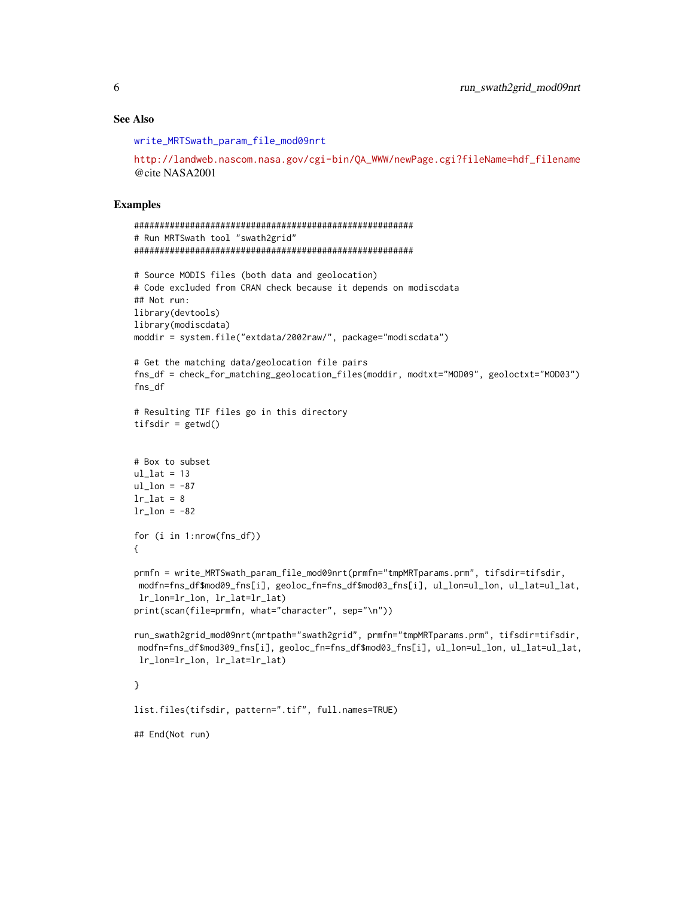#### <span id="page-5-0"></span>See Also

[write\\_MRTSwath\\_param\\_file\\_mod09nrt](#page-7-1)

```
http://landweb.nascom.nasa.gov/cgi-bin/QA_WWW/newPage.cgi?fileName=hdf_filename
@cite NASA2001
```
# Examples

```
#######################################################
# Run MRTSwath tool "swath2grid"
#######################################################
# Source MODIS files (both data and geolocation)
# Code excluded from CRAN check because it depends on modiscdata
## Not run:
library(devtools)
library(modiscdata)
moddir = system.file("extdata/2002raw/", package="modiscdata")
# Get the matching data/geolocation file pairs
fns_df = check_for_matching_geolocation_files(moddir, modtxt="MOD09", geoloctxt="MOD03")
fns_df
# Resulting TIF files go in this directory
tifsdir = getwd()
# Box to subset
ul_lat = 13ul\_lon = -87lr\_lat = 8lr\_lon = -82for (i in 1:nrow(fns_df))
{
prmfn = write_MRTSwath_param_file_mod09nrt(prmfn="tmpMRTparams.prm", tifsdir=tifsdir,
modfn=fns_df$mod09_fns[i], geoloc_fn=fns_df$mod03_fns[i], ul_lon=ul_lon, ul_lat=ul_lat,
 lr_lon=lr_lon, lr_lat=lr_lat)
print(scan(file=prmfn, what="character", sep="\n"))
run_swath2grid_mod09nrt(mrtpath="swath2grid", prmfn="tmpMRTparams.prm", tifsdir=tifsdir,
modfn=fns_df$mod309_fns[i], geoloc_fn=fns_df$mod03_fns[i], ul_lon=ul_lon, ul_lat=ul_lat,
lr_lon=lr_lon, lr_lat=lr_lat)
}
list.files(tifsdir, pattern=".tif", full.names=TRUE)
```
## End(Not run)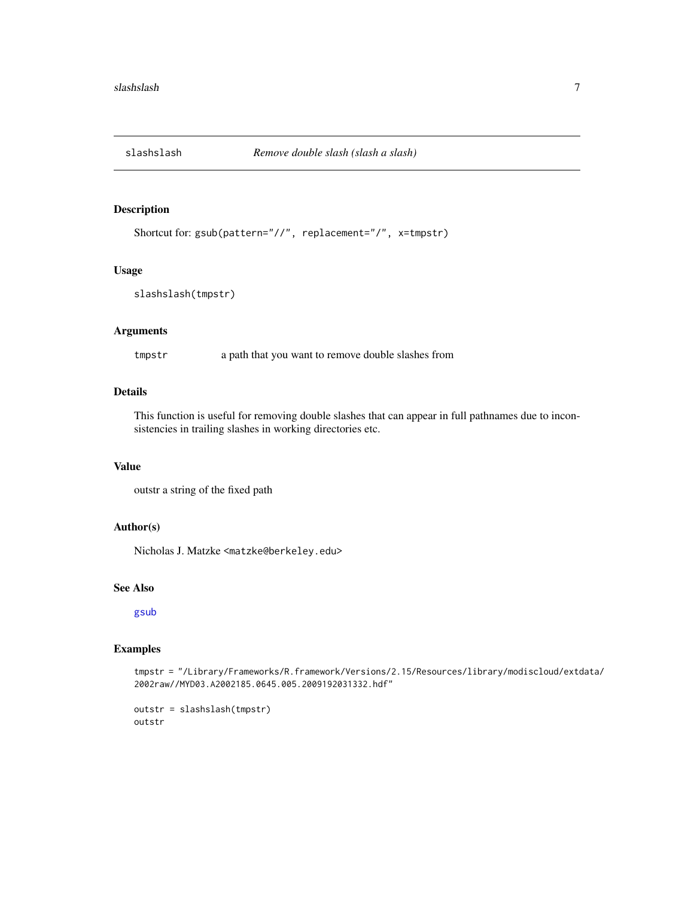<span id="page-6-0"></span>

# Description

```
Shortcut for: gsub(pattern="//", replacement="/", x=tmpstr)
```
### Usage

```
slashslash(tmpstr)
```
# Arguments

tmpstr a path that you want to remove double slashes from

# Details

This function is useful for removing double slashes that can appear in full pathnames due to inconsistencies in trailing slashes in working directories etc.

#### Value

outstr a string of the fixed path

# Author(s)

Nicholas J. Matzke <matzke@berkeley.edu>

#### See Also

[gsub](#page-0-0)

### Examples

tmpstr = "/Library/Frameworks/R.framework/Versions/2.15/Resources/library/modiscloud/extdata/ 2002raw//MYD03.A2002185.0645.005.2009192031332.hdf"

```
outstr = slashslash(tmpstr)
outstr
```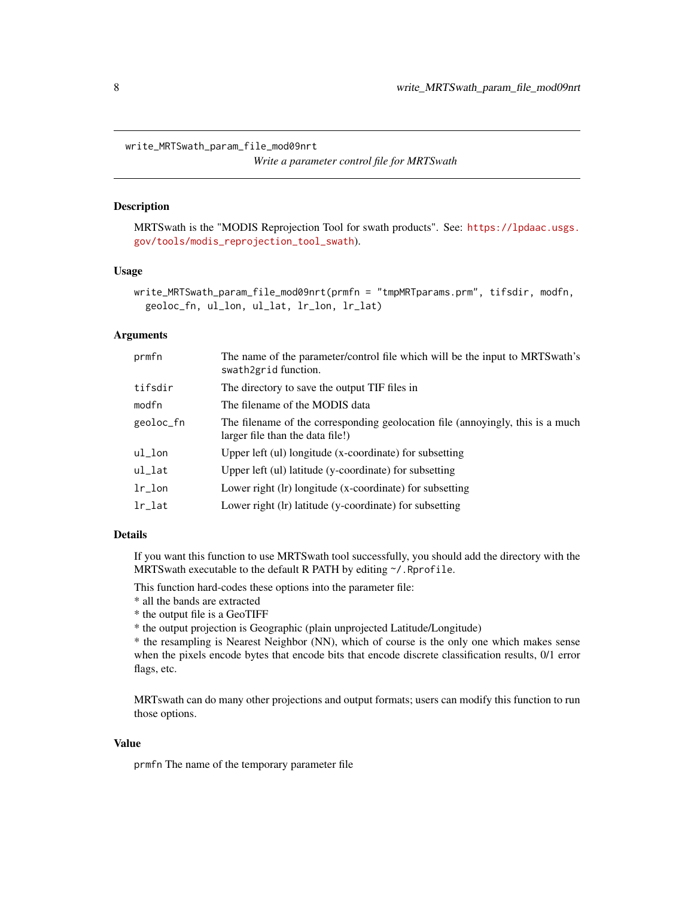<span id="page-7-1"></span><span id="page-7-0"></span>write\_MRTSwath\_param\_file\_mod09nrt

*Write a parameter control file for MRTSwath*

# **Description**

MRTSwath is the "MODIS Reprojection Tool for swath products". See: [https://lpdaac.usgs.](https://lpdaac.usgs.gov/tools/modis_reprojection_tool_swath) [gov/tools/modis\\_reprojection\\_tool\\_swath](https://lpdaac.usgs.gov/tools/modis_reprojection_tool_swath)).

#### Usage

```
write_MRTSwath_param_file_mod09nrt(prmfn = "tmpMRTparams.prm", tifsdir, modfn,
  geoloc_fn, ul_lon, ul_lat, lr_lon, lr_lat)
```
# Arguments

| prmfn      | The name of the parameter/control file which will be the input to MRTS wath's<br>swath2grid function.              |
|------------|--------------------------------------------------------------------------------------------------------------------|
| tifsdir    | The directory to save the output TIF files in                                                                      |
| modfn      | The filename of the MODIS data                                                                                     |
| geoloc_fn  | The filename of the corresponding geolocation file (annoyingly, this is a much<br>larger file than the data file!) |
| ul_lon     | Upper left (ul) longitude (x-coordinate) for subsetting                                                            |
| ul_lat     | Upper left (ul) latitude (y-coordinate) for subsetting                                                             |
| $1r\_lon$  | Lower right (lr) longitude (x-coordinate) for subsetting                                                           |
| $1r$ $1at$ | Lower right (Ir) latitude (y-coordinate) for subsetting                                                            |

### Details

If you want this function to use MRTSwath tool successfully, you should add the directory with the MRTS wath executable to the default R PATH by editing  $\gamma$ . Rprofile.

This function hard-codes these options into the parameter file:

- \* all the bands are extracted
- \* the output file is a GeoTIFF

\* the output projection is Geographic (plain unprojected Latitude/Longitude)

\* the resampling is Nearest Neighbor (NN), which of course is the only one which makes sense when the pixels encode bytes that encode bits that encode discrete classification results, 0/1 error flags, etc.

MRTswath can do many other projections and output formats; users can modify this function to run those options.

# Value

prmfn The name of the temporary parameter file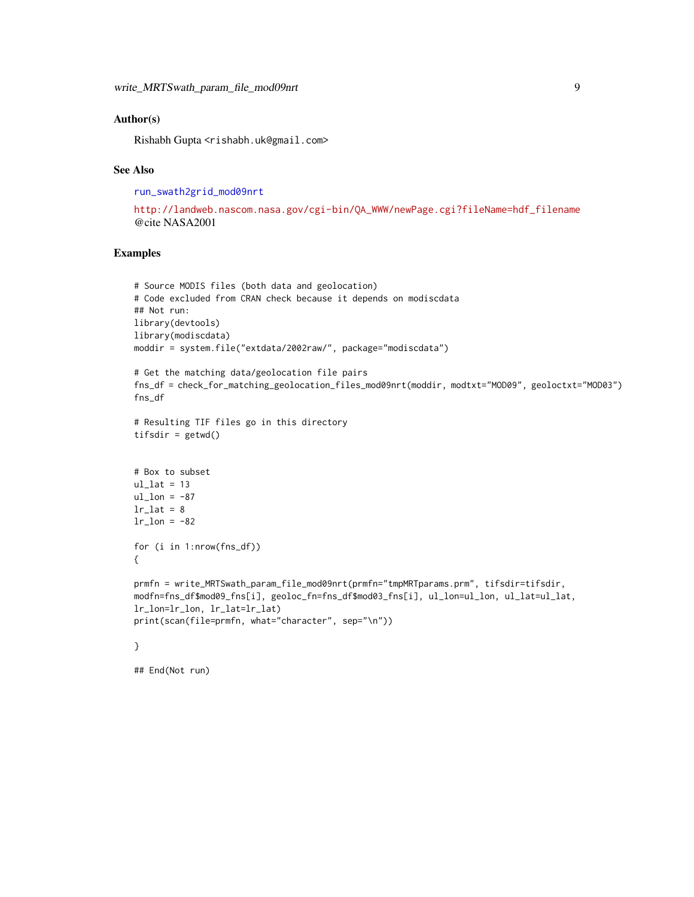#### <span id="page-8-0"></span>Author(s)

Rishabh Gupta <rishabh.uk@gmail.com>

#### See Also

[run\\_swath2grid\\_mod09nrt](#page-4-1)

```
http://landweb.nascom.nasa.gov/cgi-bin/QA_WWW/newPage.cgi?fileName=hdf_filename
@cite NASA2001
```
#### Examples

```
# Source MODIS files (both data and geolocation)
# Code excluded from CRAN check because it depends on modiscdata
## Not run:
library(devtools)
library(modiscdata)
moddir = system.file("extdata/2002raw/", package="modiscdata")
# Get the matching data/geolocation file pairs
fns_df = check_for_matching_geolocation_files_mod09nrt(moddir, modtxt="MOD09", geoloctxt="MOD03")
fns_df
# Resulting TIF files go in this directory
tifsdir = getwd()
# Box to subset
ul_lat = 13ul lon = -87lr\_lat = 8lr\_lon = -82for (i in 1:nrow(fns_df))
{
prmfn = write_MRTSwath_param_file_mod09nrt(prmfn="tmpMRTparams.prm", tifsdir=tifsdir,
modfn=fns_df$mod09_fns[i], geoloc_fn=fns_df$mod03_fns[i], ul_lon=ul_lon, ul_lat=ul_lat,
lr_lon=lr_lon, lr_lat=lr_lat)
print(scan(file=prmfn, what="character", sep="\n"))
```

```
}
```
## End(Not run)